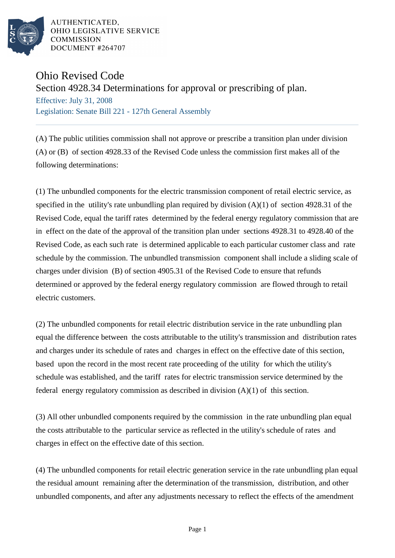

AUTHENTICATED. OHIO LEGISLATIVE SERVICE **COMMISSION** DOCUMENT #264707

## Ohio Revised Code

## Section 4928.34 Determinations for approval or prescribing of plan.

Effective: July 31, 2008 Legislation: Senate Bill 221 - 127th General Assembly

(A) The public utilities commission shall not approve or prescribe a transition plan under division (A) or (B) of section 4928.33 of the Revised Code unless the commission first makes all of the following determinations:

(1) The unbundled components for the electric transmission component of retail electric service, as specified in the utility's rate unbundling plan required by division (A)(1) of section 4928.31 of the Revised Code, equal the tariff rates determined by the federal energy regulatory commission that are in effect on the date of the approval of the transition plan under sections 4928.31 to 4928.40 of the Revised Code, as each such rate is determined applicable to each particular customer class and rate schedule by the commission. The unbundled transmission component shall include a sliding scale of charges under division (B) of section 4905.31 of the Revised Code to ensure that refunds determined or approved by the federal energy regulatory commission are flowed through to retail electric customers.

(2) The unbundled components for retail electric distribution service in the rate unbundling plan equal the difference between the costs attributable to the utility's transmission and distribution rates and charges under its schedule of rates and charges in effect on the effective date of this section, based upon the record in the most recent rate proceeding of the utility for which the utility's schedule was established, and the tariff rates for electric transmission service determined by the federal energy regulatory commission as described in division  $(A)(1)$  of this section.

(3) All other unbundled components required by the commission in the rate unbundling plan equal the costs attributable to the particular service as reflected in the utility's schedule of rates and charges in effect on the effective date of this section.

(4) The unbundled components for retail electric generation service in the rate unbundling plan equal the residual amount remaining after the determination of the transmission, distribution, and other unbundled components, and after any adjustments necessary to reflect the effects of the amendment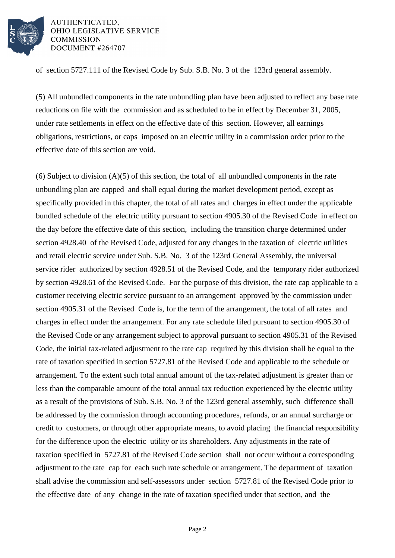

AUTHENTICATED, OHIO LEGISLATIVE SERVICE **COMMISSION** DOCUMENT #264707

of section 5727.111 of the Revised Code by Sub. S.B. No. 3 of the 123rd general assembly.

(5) All unbundled components in the rate unbundling plan have been adjusted to reflect any base rate reductions on file with the commission and as scheduled to be in effect by December 31, 2005, under rate settlements in effect on the effective date of this section. However, all earnings obligations, restrictions, or caps imposed on an electric utility in a commission order prior to the effective date of this section are void.

(6) Subject to division (A)(5) of this section, the total of all unbundled components in the rate unbundling plan are capped and shall equal during the market development period, except as specifically provided in this chapter, the total of all rates and charges in effect under the applicable bundled schedule of the electric utility pursuant to section 4905.30 of the Revised Code in effect on the day before the effective date of this section, including the transition charge determined under section 4928.40 of the Revised Code, adjusted for any changes in the taxation of electric utilities and retail electric service under Sub. S.B. No. 3 of the 123rd General Assembly, the universal service rider authorized by section 4928.51 of the Revised Code, and the temporary rider authorized by section 4928.61 of the Revised Code. For the purpose of this division, the rate cap applicable to a customer receiving electric service pursuant to an arrangement approved by the commission under section 4905.31 of the Revised Code is, for the term of the arrangement, the total of all rates and charges in effect under the arrangement. For any rate schedule filed pursuant to section 4905.30 of the Revised Code or any arrangement subject to approval pursuant to section 4905.31 of the Revised Code, the initial tax-related adjustment to the rate cap required by this division shall be equal to the rate of taxation specified in section 5727.81 of the Revised Code and applicable to the schedule or arrangement. To the extent such total annual amount of the tax-related adjustment is greater than or less than the comparable amount of the total annual tax reduction experienced by the electric utility as a result of the provisions of Sub. S.B. No. 3 of the 123rd general assembly, such difference shall be addressed by the commission through accounting procedures, refunds, or an annual surcharge or credit to customers, or through other appropriate means, to avoid placing the financial responsibility for the difference upon the electric utility or its shareholders. Any adjustments in the rate of taxation specified in 5727.81 of the Revised Code section shall not occur without a corresponding adjustment to the rate cap for each such rate schedule or arrangement. The department of taxation shall advise the commission and self-assessors under section 5727.81 of the Revised Code prior to the effective date of any change in the rate of taxation specified under that section, and the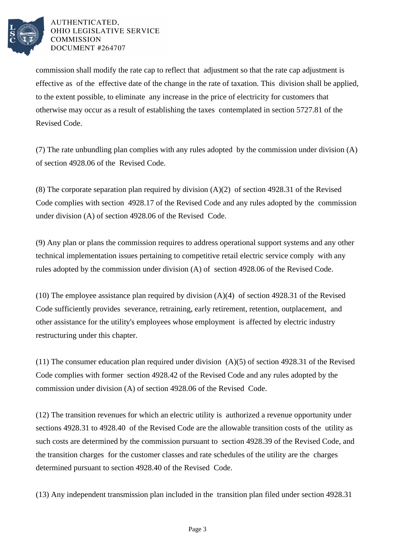

## AUTHENTICATED. OHIO LEGISLATIVE SERVICE **COMMISSION** DOCUMENT #264707

commission shall modify the rate cap to reflect that adjustment so that the rate cap adjustment is effective as of the effective date of the change in the rate of taxation. This division shall be applied, to the extent possible, to eliminate any increase in the price of electricity for customers that otherwise may occur as a result of establishing the taxes contemplated in section 5727.81 of the Revised Code.

(7) The rate unbundling plan complies with any rules adopted by the commission under division (A) of section 4928.06 of the Revised Code.

(8) The corporate separation plan required by division (A)(2) of section 4928.31 of the Revised Code complies with section 4928.17 of the Revised Code and any rules adopted by the commission under division (A) of section 4928.06 of the Revised Code.

(9) Any plan or plans the commission requires to address operational support systems and any other technical implementation issues pertaining to competitive retail electric service comply with any rules adopted by the commission under division (A) of section 4928.06 of the Revised Code.

(10) The employee assistance plan required by division (A)(4) of section 4928.31 of the Revised Code sufficiently provides severance, retraining, early retirement, retention, outplacement, and other assistance for the utility's employees whose employment is affected by electric industry restructuring under this chapter.

(11) The consumer education plan required under division (A)(5) of section 4928.31 of the Revised Code complies with former section 4928.42 of the Revised Code and any rules adopted by the commission under division (A) of section 4928.06 of the Revised Code.

(12) The transition revenues for which an electric utility is authorized a revenue opportunity under sections 4928.31 to 4928.40 of the Revised Code are the allowable transition costs of the utility as such costs are determined by the commission pursuant to section 4928.39 of the Revised Code, and the transition charges for the customer classes and rate schedules of the utility are the charges determined pursuant to section 4928.40 of the Revised Code.

(13) Any independent transmission plan included in the transition plan filed under section 4928.31